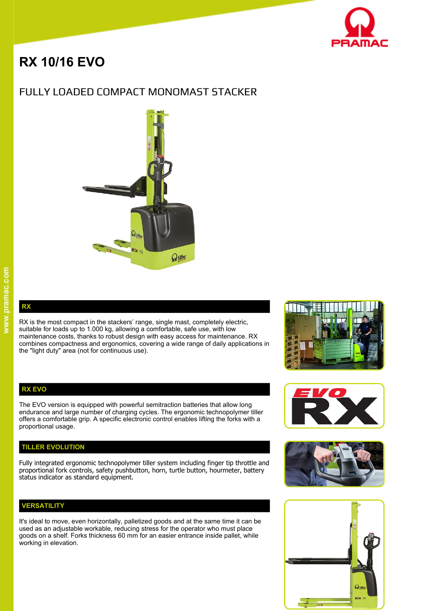

# **RX 10/16 EVO**

# FULLY LOADED COMPACT MONOMAST STACKER



**RX** 

RX is the most compact in the stackers' range, single mast, completely electric, suitable for loads up to 1.000 kg, allowing a comfortable, safe use, with low maintenance costs, thanks to robust design with easy access for maintenance. RX combines compactness and ergonomics, covering a wide range of daily applications in the "light duty" area (not for continuous use).

#### **RX EVO**

The EVO version is equipped with powerful semitraction batteries that allow long endurance and large number of charging cycles. The ergonomic technopolymer tiller offers a comfortable grip. A specific electronic control enables lifting the forks with a proportional usage.

### **TILLER EVOLUTION**

Fully integrated ergonomic technopolymer tiller system including finger tip throttle and proportional fork controls, safety pushbutton, horn, turtle button, hourmeter, battery status indicator as standard equipment.

# **VERSATILITY**

It's ideal to move, even horizontally, palletized goods and at the same time it can be used as an adjustable workable, reducing stress for the operator who must place goods on a shelf. Forks thickness 60 mm for an easier entrance inside pallet, while working in elevation.







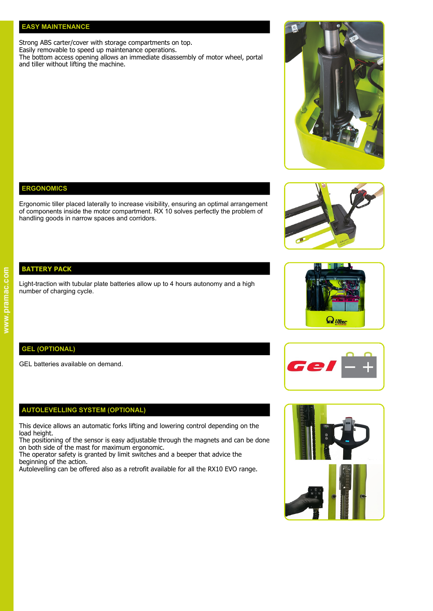#### **EASY MAINTENANCE**

Strong ABS carter/cover with storage compartments on top. Easily removable to speed up maintenance operations.

The bottom access opening allows an immediate disassembly of motor wheel, portal and tiller without lifting the machine.

# **ERGONOMICS**

Ergonomic tiller placed laterally to increase visibility, ensuring an optimal arrangement of components inside the motor compartment. RX 10 solves perfectly the problem of handling goods in narrow spaces and corridors.

## **BATTERY PACK**

Light-traction with tubular plate batteries allow up to 4 hours autonomy and a high number of charging cycle.

## **GEL (OPTIONAL)**

GEL batteries available on demand.

#### **AUTOLEVELLING SYSTEM (OPTIONAL)**

This device allows an automatic forks lifting and lowering control depending on the load height.

The positioning of the sensor is easy adjustable through the magnets and can be done on both side of the mast for maximum ergonomic.

The operator safety is granted by limit switches and a beeper that advice the beginning of the action.

Autolevelling can be offered also as a retrofit available for all the RX10 EVO range.









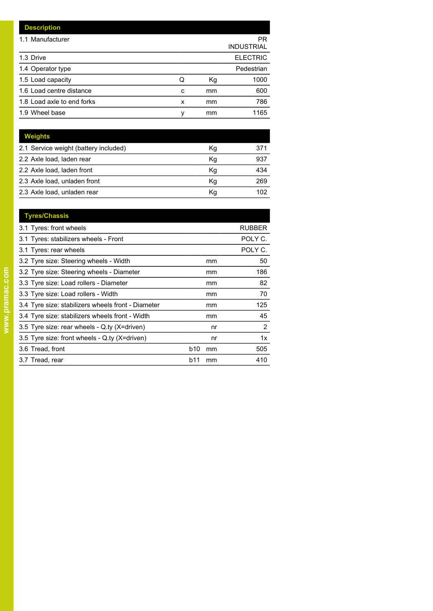| <b>Description</b>         |   |    |                         |
|----------------------------|---|----|-------------------------|
| 1.1 Manufacturer           |   |    | PR<br><b>INDUSTRIAL</b> |
| 1.3 Drive                  |   |    | <b>ELECTRIC</b>         |
| 1.4 Operator type          |   |    | Pedestrian              |
| 1.5 Load capacity          | Q | Кg | 1000                    |
| 1.6 Load centre distance   | C | mm | 600                     |
| 1.8 Load axle to end forks | x | mm | 786                     |
| 1.9 Wheel base             | ٧ | mm | 1165                    |

| Weights                               |    |     |
|---------------------------------------|----|-----|
| 2.1 Service weight (battery included) | Κg | 371 |
| 2.2 Axle load, laden rear             | Κq | 937 |
| 2.2 Axle load, laden front            | Kg | 434 |
| 2.3 Axle load, unladen front          | Кq | 269 |
| 2.3 Axle load, unladen rear           | Kq | 102 |

| <b>Tyres/Chassis</b>                               |            |    |                       |
|----------------------------------------------------|------------|----|-----------------------|
| 3.1 Tyres: front wheels                            |            |    | <b>RUBBER</b>         |
| 3.1 Tyres: stabilizers wheels - Front              |            |    | POLY C.               |
| 3.1 Tyres: rear wheels                             |            |    | POLY C.               |
| 3.2 Tyre size: Steering wheels - Width             |            | mm | 50                    |
| 3.2 Tyre size: Steering wheels - Diameter          |            | mm | 186                   |
| 3.3 Tyre size: Load rollers - Diameter             |            | mm | 82                    |
| 3.3 Tyre size: Load rollers - Width                |            | mm | 70                    |
| 3.4 Tyre size: stabilizers wheels front - Diameter |            | mm | 125                   |
| 3.4 Tyre size: stabilizers wheels front - Width    |            | mm | 45                    |
| 3.5 Tyre size: rear wheels - Q.ty (X=driven)       |            | nr | $\mathbf{2}^{\prime}$ |
| 3.5 Tyre size: front wheels - Q.ty (X=driven)      |            | nr | 1x                    |
| 3.6 Tread, front                                   | <b>b10</b> | mm | 505                   |
| 3.7 Tread, rear                                    | b11        | mm | 410                   |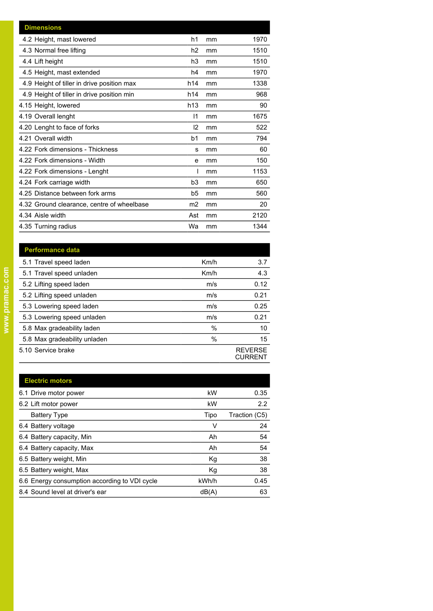| <b>Dimensions</b>                          |                |    |      |
|--------------------------------------------|----------------|----|------|
| 4.2 Height, mast lowered                   | h1             | mm | 1970 |
| 4.3 Normal free lifting                    | h2             | mm | 1510 |
| 4.4 Lift height                            | h3             | mm | 1510 |
| 4.5 Height, mast extended                  | h4             | mm | 1970 |
| 4.9 Height of tiller in drive position max | h14            | mm | 1338 |
| 4.9 Height of tiller in drive position min | h14            | mm | 968  |
| 4.15 Height, lowered                       | h13            | mm | 90   |
| 4.19 Overall lenght                        | 1              | mm | 1675 |
| 4.20 Lenght to face of forks               | 2              | mm | 522  |
| 4.21 Overall width                         | b <sub>1</sub> | mm | 794  |
| 4.22 Fork dimensions - Thickness           | s              | mm | 60   |
| 4.22 Fork dimensions - Width               | e              | mm | 150  |
| 4.22 Fork dimensions - Lenght              |                | mm | 1153 |
| 4.24 Fork carriage width                   | b3             | mm | 650  |
| 4.25 Distance between fork arms            | b5             | mm | 560  |
| 4.32 Ground clearance, centre of wheelbase | m <sub>2</sub> | mm | 20   |
| 4.34 Aisle width                           | Ast            | mm | 2120 |
| 4.35 Turning radius                        | Wa             | mm | 1344 |

| <b>Performance data</b>      |      |                           |
|------------------------------|------|---------------------------|
| 5.1 Travel speed laden       | Km/h | 3.7                       |
| 5.1 Travel speed unladen     | Km/h | 4.3                       |
| 5.2 Lifting speed laden      | m/s  | 0.12                      |
| 5.2 Lifting speed unladen    | m/s  | 0.21                      |
| 5.3 Lowering speed laden     | m/s  | 0.25                      |
| 5.3 Lowering speed unladen   | m/s  | 0.21                      |
| 5.8 Max gradeability laden   | $\%$ | 10                        |
| 5.8 Max gradeability unladen | $\%$ | 15                        |
| 5.10 Service brake           |      | <b>REVERSE</b><br>CURRENT |

| <b>Electric motors</b>                        |       |               |
|-----------------------------------------------|-------|---------------|
| 6.1 Drive motor power                         | kW    | 0.35          |
| 6.2 Lift motor power                          | kW    | 2.2           |
| <b>Battery Type</b>                           | Tipo  | Traction (C5) |
| 6.4 Battery voltage                           | ٧     | 24            |
| 6.4 Battery capacity, Min                     | Ah    | 54            |
| 6.4 Battery capacity, Max                     | Ah    | 54            |
| 6.5 Battery weight, Min                       | Kg    | 38            |
| 6.5 Battery weight, Max                       | Kg    | 38            |
| 6.6 Energy consumption according to VDI cycle | kWh/h | 0.45          |
| 8.4 Sound level at driver's ear               | dB(A) | 63            |
|                                               |       |               |